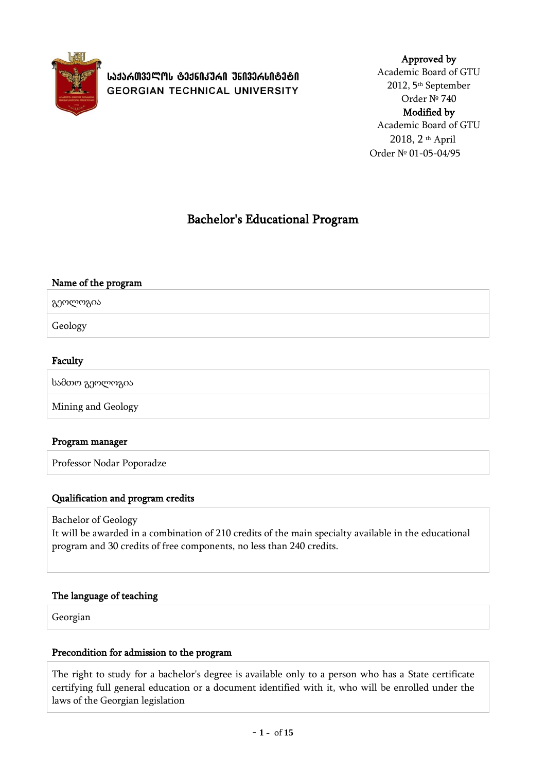

ᲡᲐᲥᲐᲠᲗᲕᲔᲚᲝᲡ ᲢᲔᲥᲜᲘᲙᲣᲠᲘ ᲣᲜᲘᲕᲔᲠᲡᲘᲢᲔᲢᲘ **GEORGIAN TECHNICAL UNIVERSITY** 

## Approved by Academic Board of GTU 2012, 5th September Order № 740 Modified by Academic Board of GTU 2018, 2 th April

Order № 01-05-04/95

# Bachelor's Educational Program

# Name of the program გეოლოგია Geology

## Faculty

სამთო გეოლოგია

Mining and Geology

## Program manager

Professor Nodar Poporadze

## Qualification and program credits

Bachelor of Geology

It will be awarded in a combination of 210 credits of the main specialty available in the educational program and 30 credits of free components, no less than 240 credits.

#### The language of teaching

Georgian

#### Precondition for admission to the program

The right to study for a bachelor's degree is available only to a person who has a State certificate certifying full general education or a document identified with it, who will be enrolled under the laws of the Georgian legislation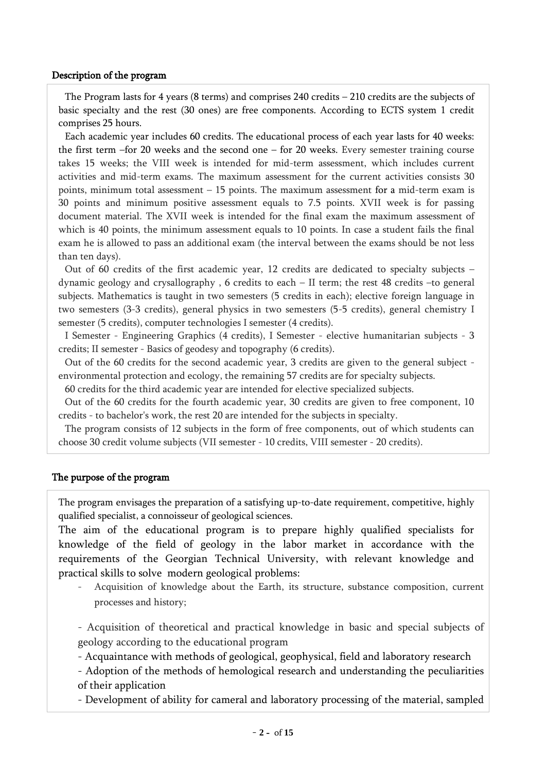#### Description of the program

The Program lasts for 4 years (8 terms) and comprises 240 credits – 210 credits are the subjects of basic specialty and the rest (30 ones) are free components. According to ECTS system 1 credit comprises 25 hours.

Each academic year includes 60 credits. The educational process of each year lasts for 40 weeks: the first term –for 20 weeks and the second one – for 20 weeks. Every semester training course takes 15 weeks; the VIII week is intended for mid-term assessment, which includes current activities and mid-term exams. The maximum assessment for the current activities consists 30 points, minimum total assessment – 15 points. The maximum assessment for a mid-term exam is 30 points and minimum positive assessment equals to 7.5 points. XVII week is for passing document material. The XVII week is intended for the final exam the maximum assessment of which is 40 points, the minimum assessment equals to 10 points. In case a student fails the final exam he is allowed to pass an additional exam (the interval between the exams should be not less than ten days).

Out of 60 credits of the first academic year, 12 credits are dedicated to specialty subjects – dynamic geology and crysallography , 6 credits to each – II term; the rest 48 credits –to general subjects. Mathematics is taught in two semesters (5 credits in each); elective foreign language in two semesters (3-3 credits), general physics in two semesters (5-5 credits), general chemistry I semester (5 credits), computer technologies I semester (4 credits).

I Semester - Engineering Graphics (4 credits), I Semester - elective humanitarian subjects - 3 credits; II semester - Basics of geodesy and topography (6 credits).

Out of the 60 credits for the second academic year, 3 credits are given to the general subject environmental protection and ecology, the remaining 57 credits are for specialty subjects.

60 credits for the third academic year are intended for elective specialized subjects.

Out of the 60 credits for the fourth academic year, 30 credits are given to free component, 10 credits - to bachelor's work, the rest 20 are intended for the subjects in specialty.

The program consists of 12 subjects in the form of free components, out of which students can choose 30 credit volume subjects (VII semester - 10 credits, VIII semester - 20 credits).

#### The purpose of the program

The program envisages the preparation of a satisfying up-to-date requirement, competitive, highly qualified specialist, a connoisseur of geological sciences.

The aim of the educational program is to prepare highly qualified specialists for knowledge of the field of geology in the labor market in accordance with the requirements of the Georgian Technical University, with relevant knowledge and practical skills to solve modern geological problems:

- Acquisition of knowledge about the Earth, its structure, substance composition, current processes and history;

- Acquisition of theoretical and practical knowledge in basic and special subjects of geology according to the educational program

- Acquaintance with methods of geological, geophysical, field and laboratory research

- Adoption of the methods of hemological research and understanding the peculiarities of their application

- Development of ability for cameral and laboratory processing of the material, sampled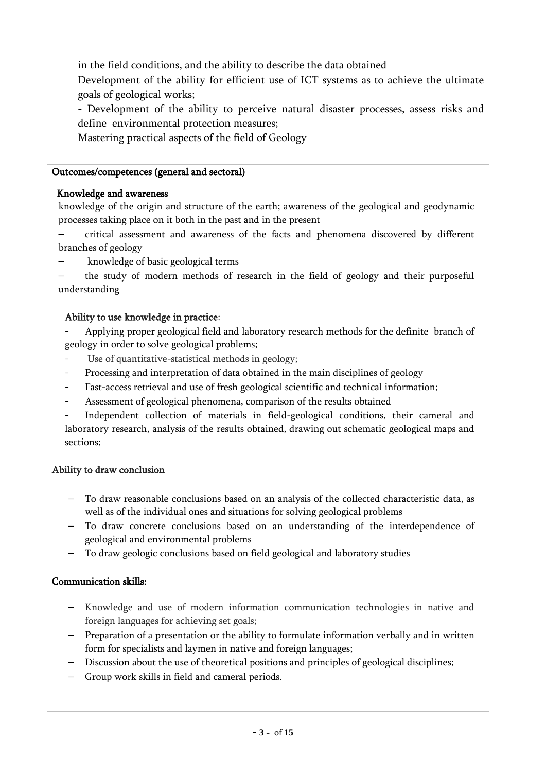in the field conditions, and the ability to describe the data obtained Development of the ability for efficient use of ICT systems as to achieve the ultimate goals of geological works;

- Development of the ability to perceive natural disaster processes, assess risks and define environmental protection measures;

Mastering practical aspects of the field of Geology

#### Outcomes/competences (general and sectoral)

## Knowledge and awareness

knowledge of the origin and structure of the earth; awareness of the geological and geodynamic processes taking place on it both in the past and in the present

- critical assessment and awareness of the facts and phenomena discovered by different branches of geology
- knowledge of basic geological terms

– the study of modern methods of research in the field of geology and their purposeful understanding

## Ability to use knowledge in practice:

Applying proper geological field and laboratory research methods for the definite branch of geology in order to solve geological problems;

- Use of quantitative-statistical methods in geology;
- Processing and interpretation of data obtained in the main disciplines of geology
- Fast-access retrieval and use of fresh geological scientific and technical information;
- Assessment of geological phenomena, comparison of the results obtained

Independent collection of materials in field-geological conditions, their cameral and laboratory research, analysis of the results obtained, drawing out schematic geological maps and sections;

## Ability to draw conclusion

- To draw reasonable conclusions based on an analysis of the collected characteristic data, as well as of the individual ones and situations for solving geological problems
- To draw concrete conclusions based on an understanding of the interdependence of geological and environmental problems
- To draw geologic conclusions based on field geological and laboratory studies

## Communication skills:

- Knowledge and use of modern information communication technologies in native and foreign languages for achieving set goals;
- Preparation of a presentation or the ability to formulate information verbally and in written form for specialists and laymen in native and foreign languages;
- Discussion about the use of theoretical positions and principles of geological disciplines;
- Group work skills in field and cameral periods.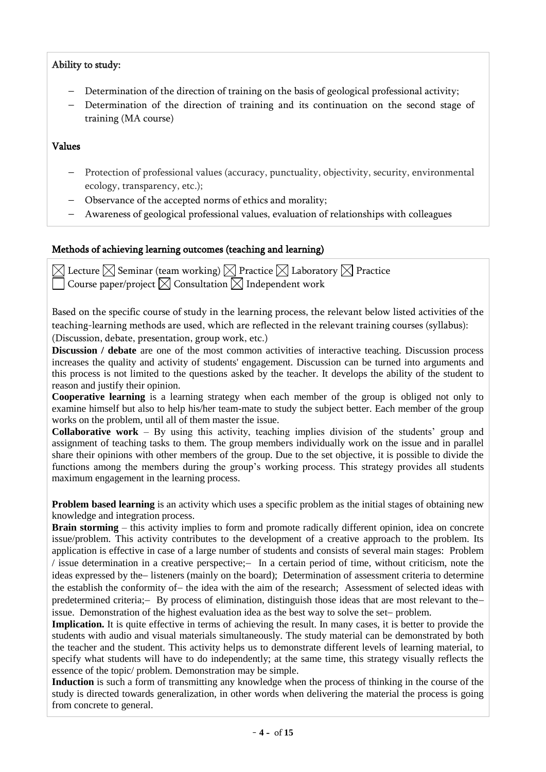#### Ability to study:

- Determination of the direction of training on the basis of geological professional activity;
- Determination of the direction of training and its continuation on the second stage of training (MA course)

#### Values

- Protection of professional values (accuracy, punctuality, objectivity, security, environmental ecology, transparency, etc.);
- Observance of the accepted norms of ethics and morality;
- Awareness of geological professional values, evaluation of relationships with colleagues

#### Methods of achieving learning outcomes (teaching and learning)

 $\boxtimes$  Lecture  $\boxtimes$  Seminar (team working)  $\boxtimes$  Practice  $\boxtimes$  Laboratory  $\boxtimes$  Practice Course paper/project  $\boxtimes$  Consultation  $\boxtimes$  Independent work

Based on the specific course of study in the learning process, the relevant below listed activities of the teaching-learning methods are used, which are reflected in the relevant training courses (syllabus): (Discussion, debate, presentation, group work, etc.)

**Discussion / debate** are one of the most common activities of interactive teaching. Discussion process increases the quality and activity of students' engagement. Discussion can be turned into arguments and this process is not limited to the questions asked by the teacher. It develops the ability of the student to reason and justify their opinion.

**Cooperative learning** is a learning strategy when each member of the group is obliged not only to examine himself but also to help his/her team-mate to study the subject better. Each member of the group works on the problem, until all of them master the issue.

**Collaborative work** – By using this activity, teaching implies division of the students' group and assignment of teaching tasks to them. The group members individually work on the issue and in parallel share their opinions with other members of the group. Due to the set objective, it is possible to divide the functions among the members during the group's working process. This strategy provides all students maximum engagement in the learning process.

**Problem based learning** is an activity which uses a specific problem as the initial stages of obtaining new knowledge and integration process.

**Brain storming** – this activity implies to form and promote radically different opinion, idea on concrete issue/problem. This activity contributes to the development of a creative approach to the problem. Its application is effective in case of a large number of students and consists of several main stages: Problem / issue determination in a creative perspective;- In a certain period of time, without criticism, note the ideas expressed by the listeners (mainly on the board); Determination of assessment criteria to determine the establish the conformity of – the idea with the aim of the research; Assessment of selected ideas with predetermined criteria; By process of elimination, distinguish those ideas that are most relevant to the issue. Demonstration of the highest evaluation idea as the best way to solve the set-problem.

**Implication.** It is quite effective in terms of achieving the result. In many cases, it is better to provide the students with audio and visual materials simultaneously. The study material can be demonstrated by both the teacher and the student. This activity helps us to demonstrate different levels of learning material, to specify what students will have to do independently; at the same time, this strategy visually reflects the essence of the topic/ problem. Demonstration may be simple.

**Induction** is such a form of transmitting any knowledge when the process of thinking in the course of the study is directed towards generalization, in other words when delivering the material the process is going from concrete to general.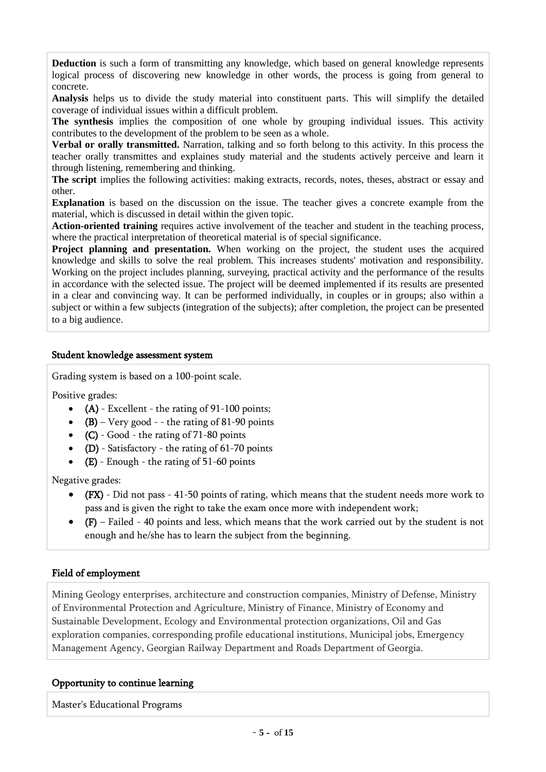**Deduction** is such a form of transmitting any knowledge, which based on general knowledge represents logical process of discovering new knowledge in other words, the process is going from general to concrete.

**Analysis** helps us to divide the study material into constituent parts. This will simplify the detailed coverage of individual issues within a difficult problem.

**The synthesis** implies the composition of one whole by grouping individual issues. This activity contributes to the development of the problem to be seen as a whole.

**Verbal or orally transmitted.** Narration, talking and so forth belong to this activity. In this process the teacher orally transmittes and explaines study material and the students actively perceive and learn it through listening, remembering and thinking.

**The script** implies the following activities: making extracts, records, notes, theses, abstract or essay and other.

**Explanation** is based on the discussion on the issue. The teacher gives a concrete example from the material, which is discussed in detail within the given topic.

**Action-oriented training** requires active involvement of the teacher and student in the teaching process, where the practical interpretation of theoretical material is of special significance.

**Project planning and presentation.** When working on the project, the student uses the acquired knowledge and skills to solve the real problem. This increases students' motivation and responsibility. Working on the project includes planning, surveying, practical activity and the performance of the results in accordance with the selected issue. The project will be deemed implemented if its results are presented in a clear and convincing way. It can be performed individually, in couples or in groups; also within a subject or within a few subjects (integration of the subjects); after completion, the project can be presented to a big audience.

#### Student knowledge assessment system

Grading system is based on a 100-point scale.

Positive grades:

- $(A)$  Excellent the rating of 91-100 points;
- $(B)$  Very good - the rating of 81-90 points
- $(C)$  Good the rating of 71-80 points
- $\bullet$  (D) Satisfactory the rating of 61-70 points
- $\bullet$  (E) Enough the rating of 51-60 points

Negative grades:

- (FX) Did not pass 41-50 points of rating, which means that the student needs more work to pass and is given the right to take the exam once more with independent work;
- $\bullet$  (F) Failed 40 points and less, which means that the work carried out by the student is not enough and he/she has to learn the subject from the beginning.

#### Field of employment

Mining Geology enterprises, architecture and construction companies, Ministry of Defense, Ministry of Environmental Protection and Agriculture, Ministry of Finance, Ministry of Economy and Sustainable Development, Ecology and Environmental protection organizations, Oil and Gas exploration companies, corresponding profile educational institutions, Municipal jobs, Emergency Management Agency, Georgian Railway Department and Roads Department of Georgia.

#### Opportunity to continue learning

Master's Educational Programs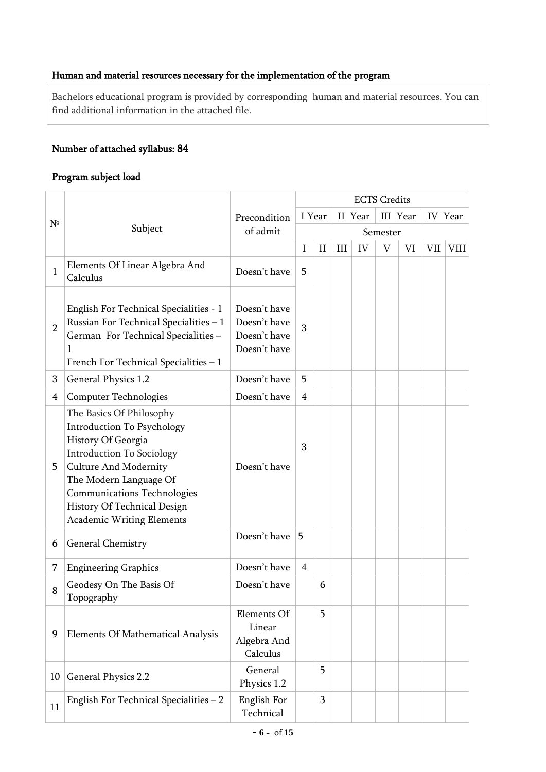# Human and material resources necessary for the implementation of the program

Bachelors educational program is provided by corresponding human and material resources. You can find additional information in the attached file.

# Number of attached syllabus: 84

## Program subject load

|                |                                                                                                                                                                                                                                                                                            |                                                              |                |          |     |         | <b>ECTS</b> Credits       |    |         |             |
|----------------|--------------------------------------------------------------------------------------------------------------------------------------------------------------------------------------------------------------------------------------------------------------------------------------------|--------------------------------------------------------------|----------------|----------|-----|---------|---------------------------|----|---------|-------------|
|                |                                                                                                                                                                                                                                                                                            | Precondition                                                 |                | I Year   |     | II Year | III Year                  |    | IV Year |             |
| $N^{\circ}$    | Subject                                                                                                                                                                                                                                                                                    | of admit                                                     |                |          |     |         | Semester                  |    |         |             |
|                |                                                                                                                                                                                                                                                                                            |                                                              | I              | $\rm II$ | III | IV      | $\boldsymbol{\mathrm{V}}$ | VI | VII     | <b>VIII</b> |
| 1              | Elements Of Linear Algebra And<br>Calculus                                                                                                                                                                                                                                                 | Doesn't have                                                 | 5              |          |     |         |                           |    |         |             |
| $\overline{2}$ | English For Technical Specialities - 1<br>Russian For Technical Specialities - 1<br>German For Technical Specialities -<br>1<br>French For Technical Specialities - 1                                                                                                                      | Doesn't have<br>Doesn't have<br>Doesn't have<br>Doesn't have | 3              |          |     |         |                           |    |         |             |
| 3              | General Physics 1.2                                                                                                                                                                                                                                                                        | Doesn't have                                                 | 5              |          |     |         |                           |    |         |             |
| $\overline{4}$ | <b>Computer Technologies</b>                                                                                                                                                                                                                                                               | Doesn't have                                                 | $\overline{4}$ |          |     |         |                           |    |         |             |
| 5              | The Basics Of Philosophy<br><b>Introduction To Psychology</b><br>History Of Georgia<br><b>Introduction To Sociology</b><br><b>Culture And Modernity</b><br>The Modern Language Of<br><b>Communications Technologies</b><br>History Of Technical Design<br><b>Academic Writing Elements</b> | Doesn't have                                                 | 3              |          |     |         |                           |    |         |             |
| 6              | General Chemistry                                                                                                                                                                                                                                                                          | Doesn't have                                                 | 5              |          |     |         |                           |    |         |             |
| 7              | <b>Engineering Graphics</b>                                                                                                                                                                                                                                                                | Doesn't have                                                 | $\overline{4}$ |          |     |         |                           |    |         |             |
| 8              | Geodesy On The Basis Of<br>Topography                                                                                                                                                                                                                                                      | Doesn't have                                                 |                | 6        |     |         |                           |    |         |             |
| 9              | Elements Of Mathematical Analysis                                                                                                                                                                                                                                                          | Elements Of<br>Linear<br>Algebra And<br>Calculus             |                | 5        |     |         |                           |    |         |             |
| 10             | General Physics 2.2                                                                                                                                                                                                                                                                        | General<br>Physics 1.2                                       |                | 5        |     |         |                           |    |         |             |
| 11             | English For Technical Specialities $-2$                                                                                                                                                                                                                                                    | English For<br>Technical                                     |                | 3        |     |         |                           |    |         |             |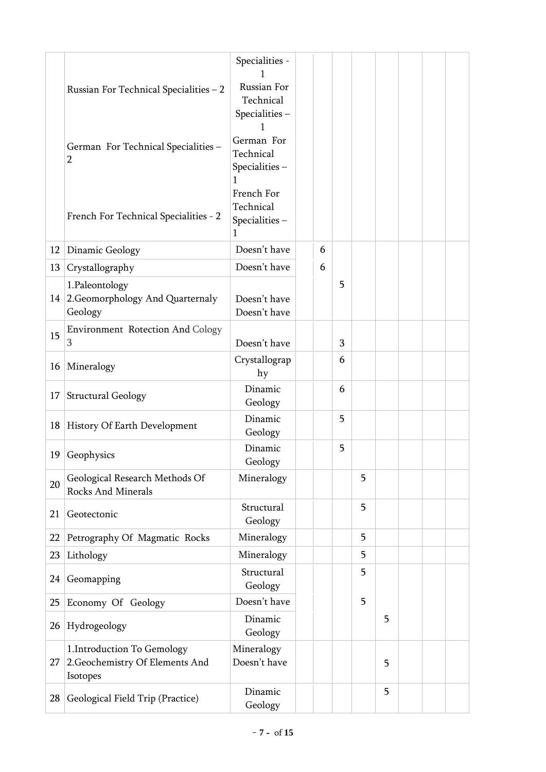|    |                                                                            | Specialities -                                |   |   |   |   |  |  |
|----|----------------------------------------------------------------------------|-----------------------------------------------|---|---|---|---|--|--|
|    | Russian For Technical Specialities - 2                                     | Russian For<br>Technical                      |   |   |   |   |  |  |
|    |                                                                            | Specialities-                                 |   |   |   |   |  |  |
|    | German For Technical Specialities -<br>$\overline{2}$                      | German For<br>Technical<br>Specialities-      |   |   |   |   |  |  |
|    |                                                                            | 1                                             |   |   |   |   |  |  |
|    | French For Technical Specialities - 2                                      | French For<br>Technical<br>Specialities-<br>1 |   |   |   |   |  |  |
| 12 | Dinamic Geology                                                            | Doesn't have                                  | 6 |   |   |   |  |  |
| 13 | Crystallography                                                            | Doesn't have                                  | 6 |   |   |   |  |  |
| 14 | 1.Paleontology<br>2. Geomorphology And Quarternaly<br>Geology              | Doesn't have<br>Doesn't have                  |   | 5 |   |   |  |  |
| 15 | <b>Environment Rotection And Cology</b><br>3                               | Doesn't have                                  |   | 3 |   |   |  |  |
| 16 | Mineralogy                                                                 | Crystallograp<br>hy                           |   | 6 |   |   |  |  |
| 17 | <b>Structural Geology</b>                                                  | Dinamic<br>Geology                            |   | 6 |   |   |  |  |
| 18 | History Of Earth Development                                               | Dinamic<br>Geology                            |   | 5 |   |   |  |  |
| 19 | Geophysics                                                                 | Dinamic<br>Geology                            |   | 5 |   |   |  |  |
| 20 | Geological Research Methods Of<br>Rocks And Minerals                       | Mineralogy                                    |   |   | 5 |   |  |  |
| 21 | Geotectonic                                                                | Structural<br>Geology                         |   |   | 5 |   |  |  |
| 22 | Petrography Of Magmatic Rocks                                              | Mineralogy                                    |   |   | 5 |   |  |  |
| 23 | Lithology                                                                  | Mineralogy                                    |   |   | 5 |   |  |  |
| 24 | Geomapping                                                                 | Structural<br>Geology                         |   |   | 5 |   |  |  |
| 25 | Economy Of Geology                                                         | Doesn't have                                  |   |   | 5 |   |  |  |
| 26 | Hydrogeology                                                               | Dinamic<br>Geology                            |   |   |   | 5 |  |  |
| 27 | 1. Introduction To Gemology<br>2. Geochemistry Of Elements And<br>Isotopes | Mineralogy<br>Doesn't have                    |   |   |   | 5 |  |  |
| 28 | Geological Field Trip (Practice)                                           | Dinamic<br>Geology                            |   |   |   | 5 |  |  |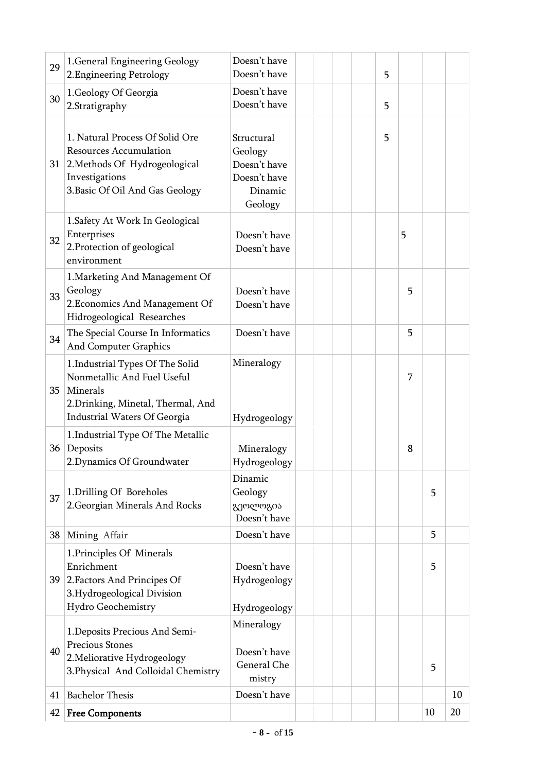| 29 | 1. General Engineering Geology<br>2. Engineering Petrology                                                                                             | Doesn't have<br>Doesn't have                                                |  |  | 5 |   |    |    |
|----|--------------------------------------------------------------------------------------------------------------------------------------------------------|-----------------------------------------------------------------------------|--|--|---|---|----|----|
| 30 | 1. Geology Of Georgia<br>2.Stratigraphy                                                                                                                | Doesn't have<br>Doesn't have                                                |  |  | 5 |   |    |    |
| 31 | 1. Natural Process Of Solid Ore<br><b>Resources Accumulation</b><br>2. Methods Of Hydrogeological<br>Investigations<br>3. Basic Of Oil And Gas Geology | Structural<br>Geology<br>Doesn't have<br>Doesn't have<br>Dinamic<br>Geology |  |  | 5 |   |    |    |
| 32 | 1. Safety At Work In Geological<br>Enterprises<br>2. Protection of geological<br>environment                                                           | Doesn't have<br>Doesn't have                                                |  |  |   | 5 |    |    |
| 33 | 1. Marketing And Management Of<br>Geology<br>2. Economics And Management Of<br>Hidrogeological Researches                                              | Doesn't have<br>Doesn't have                                                |  |  |   | 5 |    |    |
| 34 | The Special Course In Informatics<br>And Computer Graphics                                                                                             | Doesn't have                                                                |  |  |   | 5 |    |    |
| 35 | 1. Industrial Types Of The Solid<br>Nonmetallic And Fuel Useful<br>Minerals<br>2. Drinking, Minetal, Thermal, And<br>Industrial Waters Of Georgia      | Mineralogy<br>Hydrogeology                                                  |  |  |   | 7 |    |    |
|    | 1. Industrial Type Of The Metallic<br>36   Deposits<br>2. Dynamics Of Groundwater                                                                      | Mineralogy<br>Hydrogeology                                                  |  |  |   | 8 |    |    |
| 37 | 1. Drilling Of Boreholes<br>2. Georgian Minerals And Rocks                                                                                             | Dinamic<br>Geology<br>გეოლოგია<br>Doesn't have                              |  |  |   |   | 5  |    |
| 38 | Mining Affair                                                                                                                                          | Doesn't have                                                                |  |  |   |   | 5  |    |
| 39 | 1. Principles Of Minerals<br>Enrichment<br>2. Factors And Principes Of<br>3.Hydrogeological Division<br>Hydro Geochemistry                             | Doesn't have<br>Hydrogeology<br>Hydrogeology                                |  |  |   |   | 5  |    |
| 40 | 1. Deposits Precious And Semi-<br>Precious Stones<br>2. Meliorative Hydrogeology<br>3. Physical And Colloidal Chemistry                                | Mineralogy<br>Doesn't have<br>General Che<br>mistry                         |  |  |   |   | 5  |    |
| 41 | <b>Bachelor Thesis</b>                                                                                                                                 | Doesn't have                                                                |  |  |   |   |    | 10 |
| 42 | <b>Free Components</b>                                                                                                                                 |                                                                             |  |  |   |   | 10 | 20 |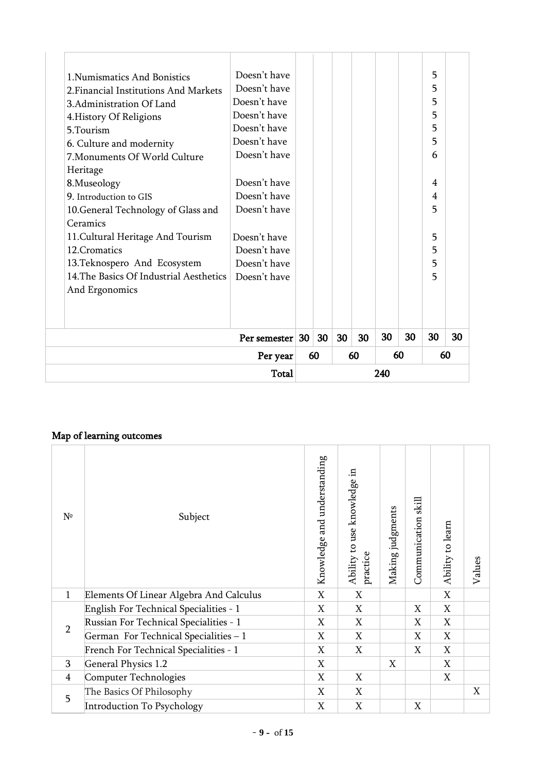|                                         | Total        |    |    |    |    | 240 |    |    |    |
|-----------------------------------------|--------------|----|----|----|----|-----|----|----|----|
|                                         | Per year     |    | 60 |    | 60 | 60  |    | 60 |    |
|                                         | Per semester | 30 | 30 | 30 | 30 | 30  | 30 | 30 | 30 |
|                                         |              |    |    |    |    |     |    |    |    |
| And Ergonomics                          |              |    |    |    |    |     |    |    |    |
| 14. The Basics Of Industrial Aesthetics | Doesn't have |    |    |    |    |     |    | 5  |    |
| 13. Teknospero And Ecosystem            | Doesn't have |    |    |    |    |     |    | 5  |    |
| 12. Cromatics                           | Doesn't have |    |    |    |    |     |    | 5  |    |
| 11. Cultural Heritage And Tourism       | Doesn't have |    |    |    |    |     |    | 5  |    |
| Ceramics                                |              |    |    |    |    |     |    |    |    |
| 10. General Technology of Glass and     | Doesn't have |    |    |    |    |     |    | 5  |    |
| 9. Introduction to GIS                  | Doesn't have |    |    |    |    |     |    | 4  |    |
| 8. Museology                            | Doesn't have |    |    |    |    |     |    | 4  |    |
| Heritage                                |              |    |    |    |    |     |    |    |    |
| 7. Monuments Of World Culture           | Doesn't have |    |    |    |    |     |    | 6  |    |
| 6. Culture and modernity                | Doesn't have |    |    |    |    |     |    | 5  |    |
| 5. Tourism                              | Doesn't have |    |    |    |    |     |    | 5  |    |
| 4. History Of Religions                 | Doesn't have |    |    |    |    |     |    | 5  |    |
| 3. Administration Of Land               | Doesn't have |    |    |    |    |     |    | 5  |    |
| 2 Financial Institutions And Markets    | Doesn't have |    |    |    |    |     |    | 5  |    |
| 1. Numismatics And Bonistics            | Doesn't have |    |    |    |    |     |    | 5  |    |

## Map of learning outcomes

| $N^{\circ}$    | Subject                                 | Knowledge and understanding | Ability to use knowledge in<br>practice | Making judgments | Communication skill | Ability to learn | Values |
|----------------|-----------------------------------------|-----------------------------|-----------------------------------------|------------------|---------------------|------------------|--------|
| $\mathbf{1}$   | Elements Of Linear Algebra And Calculus | X                           | X                                       |                  |                     | X                |        |
|                | English For Technical Specialities - 1  | X                           | X                                       |                  | X                   | X                |        |
| $\overline{2}$ | Russian For Technical Specialities - 1  | X                           | X                                       |                  | X                   | X                |        |
|                | German For Technical Specialities - 1   | X                           | X                                       |                  | X                   | X                |        |
|                | French For Technical Specialities - 1   | X                           | X                                       |                  | X                   | $\boldsymbol{X}$ |        |
| 3              | <b>General Physics 1.2</b>              | X                           |                                         | X                |                     | X                |        |
| $\overline{4}$ | Computer Technologies                   | X                           | X                                       |                  |                     | X                |        |
| 5              | The Basics Of Philosophy                | X                           | X                                       |                  |                     |                  | X      |
|                | <b>Introduction To Psychology</b>       | X                           | X                                       |                  | X                   |                  |        |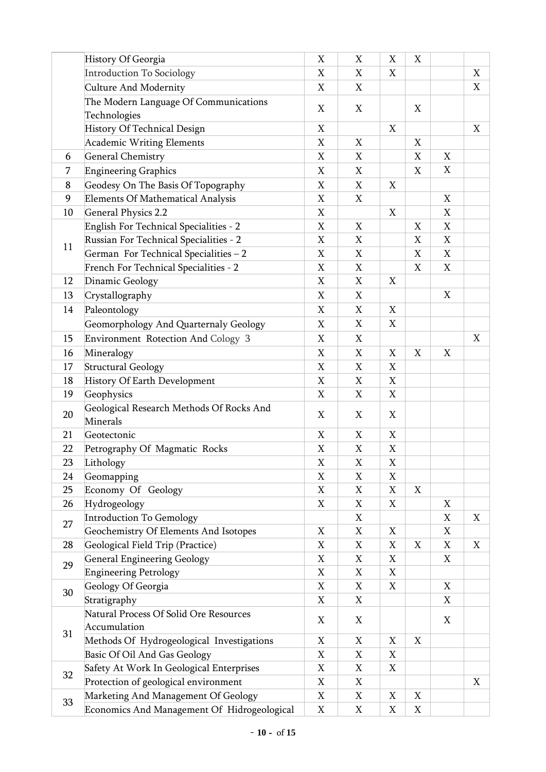|    | History Of Georgia                          | X           | X | X           | X           |                           |   |
|----|---------------------------------------------|-------------|---|-------------|-------------|---------------------------|---|
|    | Introduction To Sociology                   | X           | X | X           |             |                           | X |
|    | Culture And Modernity                       | X           | X |             |             |                           | X |
|    | The Modern Language Of Communications       | X           | X |             | X           |                           |   |
|    | Technologies                                |             |   |             |             |                           |   |
|    | History Of Technical Design                 | X           |   | X           |             |                           | X |
|    | Academic Writing Elements                   | X           | X |             | X           |                           |   |
| 6  | <b>General Chemistry</b>                    | X           | X |             | X           | X                         |   |
| 7  | <b>Engineering Graphics</b>                 | X           | X |             | X           | X                         |   |
| 8  | Geodesy On The Basis Of Topography          | X           | X | X           |             |                           |   |
| 9  | Elements Of Mathematical Analysis           | $\mathbf X$ | X |             |             | X                         |   |
| 10 | <b>General Physics 2.2</b>                  | X           |   | X           |             | X                         |   |
|    | English For Technical Specialities - 2      | $\mathbf X$ | X |             | X           | X                         |   |
|    | Russian For Technical Specialities - 2      | X           | X |             | X           | X                         |   |
| 11 | German For Technical Specialities - 2       | $\mathbf X$ | X |             | X           | X                         |   |
|    | French For Technical Specialities - 2       | X           | X |             | X           | X                         |   |
| 12 | Dinamic Geology                             | $\mathbf X$ | X | X           |             |                           |   |
| 13 | Crystallography                             | X           | X |             |             | $\mathbf X$               |   |
| 14 | Paleontology                                | X           | X | X           |             |                           |   |
|    | Geomorphology And Quarternaly Geology       | X           | X | X           |             |                           |   |
| 15 | Environment Rotection And Cology 3          | X           | X |             |             |                           | X |
| 16 | Mineralogy                                  | $\mathbf X$ | X | X           | $\mathbf X$ | $\boldsymbol{\mathrm{X}}$ |   |
| 17 | <b>Structural Geology</b>                   | X           | X | X           |             |                           |   |
| 18 | History Of Earth Development                | X           | X | X           |             |                           |   |
| 19 | Geophysics                                  | X           | X | X           |             |                           |   |
|    | Geological Research Methods Of Rocks And    |             |   |             |             |                           |   |
| 20 | Minerals                                    | X           | X | X           |             |                           |   |
| 21 | Geotectonic                                 | X           | X | X           |             |                           |   |
| 22 | Petrography Of Magmatic Rocks               | X           | X | X           |             |                           |   |
| 23 | Lithology                                   | $\mathbf X$ | X | $\mathbf X$ |             |                           |   |
| 24 | Geomapping                                  | X           | X | X           |             |                           |   |
| 25 | Economy Of Geology                          | $\mathbf X$ | X | $\mathbf X$ | X           |                           |   |
| 26 | Hydrogeology                                | X           | X | Χ           |             | X                         |   |
|    | Introduction To Gemology                    |             | X |             |             | X                         | X |
| 27 | Geochemistry Of Elements And Isotopes       | X           | X | X           |             | X                         |   |
| 28 | Geological Field Trip (Practice)            | X           | X | X           | X           | X                         | X |
| 29 | <b>General Engineering Geology</b>          | X           | X | X           |             | X                         |   |
|    | <b>Engineering Petrology</b>                | X           | X | X           |             |                           |   |
| 30 | Geology Of Georgia                          | X           | X | X           |             | X                         |   |
|    | Stratigraphy                                | $\mathbf X$ | X |             |             | X                         |   |
|    | Natural Process Of Solid Ore Resources      | X           | X |             |             | X                         |   |
| 31 | Accumulation                                |             |   |             |             |                           |   |
|    | Methods Of Hydrogeological Investigations   | X           | X | X           | X           |                           |   |
|    | Basic Of Oil And Gas Geology                | X           | X | X           |             |                           |   |
| 32 | Safety At Work In Geological Enterprises    | X           | X | X           |             |                           |   |
|    | Protection of geological environment        | X           | X |             |             |                           | X |
| 33 | Marketing And Management Of Geology         | X           | X | X           | X           |                           |   |
|    | Economics And Management Of Hidrogeological | X           | X | X           | X           |                           |   |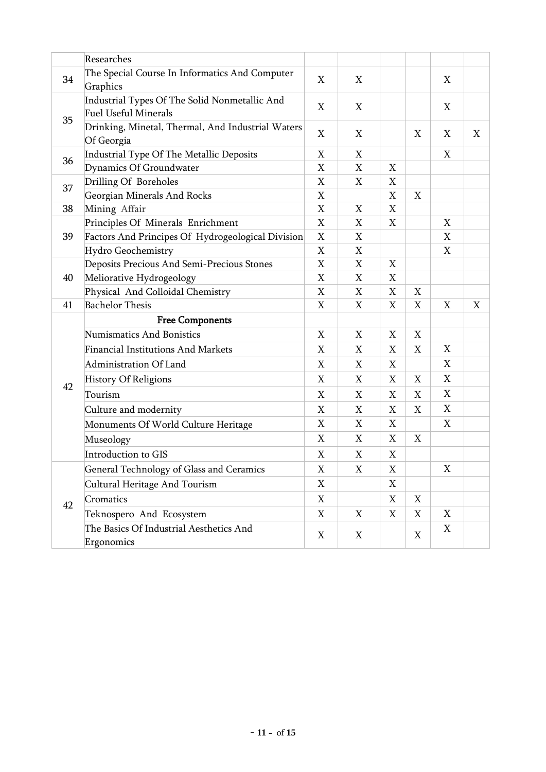|    | Researches                                                                   |                  |   |   |                           |                  |   |
|----|------------------------------------------------------------------------------|------------------|---|---|---------------------------|------------------|---|
| 34 | The Special Course In Informatics And Computer<br>Graphics                   | X                | X |   |                           | X                |   |
|    | Industrial Types Of The Solid Nonmetallic And<br><b>Fuel Useful Minerals</b> | $\boldsymbol{X}$ | X |   |                           | $\boldsymbol{X}$ |   |
| 35 | Drinking, Minetal, Thermal, And Industrial Waters<br>Of Georgia              | $\boldsymbol{X}$ | X |   | X                         | X                | X |
| 36 | Industrial Type Of The Metallic Deposits                                     | X                | X |   |                           | X                |   |
|    | Dynamics Of Groundwater                                                      | X                | X | X |                           |                  |   |
| 37 | Drilling Of Boreholes                                                        | X                | X | X |                           |                  |   |
|    | Georgian Minerals And Rocks                                                  | X                |   | X | X                         |                  |   |
| 38 | Mining Affair                                                                | X                | X | X |                           |                  |   |
|    | Principles Of Minerals Enrichment                                            | X                | X | X |                           | X                |   |
| 39 | Factors And Principes Of Hydrogeological Division                            | X                | X |   |                           | X                |   |
|    | Hydro Geochemistry                                                           | X                | X |   |                           | X                |   |
|    | Deposits Precious And Semi-Precious Stones                                   | X                | X | X |                           |                  |   |
| 40 | Meliorative Hydrogeology                                                     | X                | X | X |                           |                  |   |
|    | Physical And Colloidal Chemistry                                             | X                | X | X | X                         |                  |   |
| 41 | <b>Bachelor Thesis</b>                                                       | X                | X | X | X                         | X                | X |
|    | <b>Free Components</b>                                                       |                  |   |   |                           |                  |   |
|    | <b>Numismatics And Bonistics</b>                                             | $\boldsymbol{X}$ | X | X | $\boldsymbol{\mathrm{X}}$ |                  |   |
|    | <b>Financial Institutions And Markets</b>                                    | X                | X | X | X                         | X                |   |
|    | Administration Of Land                                                       | $\boldsymbol{X}$ | X | X |                           | X                |   |
|    | <b>History Of Religions</b>                                                  | X                | X | X | X                         | X                |   |
| 42 | Tourism                                                                      | X                | X | X | X                         | $\boldsymbol{X}$ |   |
|    | Culture and modernity                                                        | X                | X | X | X                         | X                |   |
|    | Monuments Of World Culture Heritage                                          | X                | X | X |                           | X                |   |
|    | Museology                                                                    | X                | X | X | X                         |                  |   |
|    | Introduction to GIS                                                          | X                | X | X |                           |                  |   |
|    | General Technology of Glass and Ceramics                                     | X                | X | X |                           | X                |   |
|    | Cultural Heritage And Tourism                                                | X                |   | X |                           |                  |   |
| 42 | Cromatics                                                                    | X                |   | X | X                         |                  |   |
|    | Teknospero And Ecosystem                                                     | X                | X | X | X                         | X                |   |
|    | The Basics Of Industrial Aesthetics And<br>Ergonomics                        | X                | X |   | X                         | X                |   |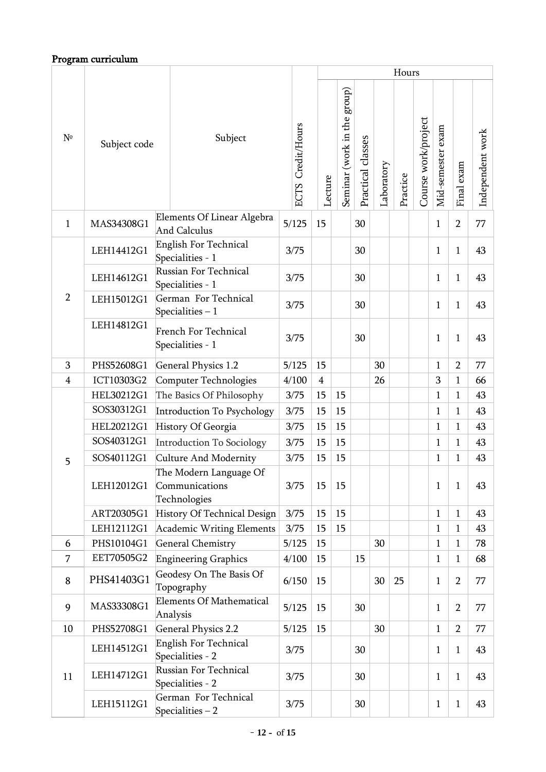# Program curriculum

|                |              |                                                          |                      |                | Hours                       |                   |            |          |                     |                   |                |                  |
|----------------|--------------|----------------------------------------------------------|----------------------|----------------|-----------------------------|-------------------|------------|----------|---------------------|-------------------|----------------|------------------|
| $N^{\circ}$    | Subject code | Subject                                                  | Credit/Hours<br>ECTS | Lecture        | Seminar (work in the group) | Practical classes | Laboratory | Practice | Course work/project | Mid-semester exam | Final exam     | Independent work |
| $\mathbf{1}$   | MAS34308G1   | Elements Of Linear Algebra<br><b>And Calculus</b>        | 5/125                | 15             |                             | 30                |            |          |                     | $\mathbf{1}$      | $\overline{2}$ | 77               |
|                | LEH14412G1   | English For Technical<br>Specialities - 1                | 3/75                 |                |                             | 30                |            |          |                     | $\mathbf{1}$      | 1              | 43               |
|                | LEH14612G1   | <b>Russian For Technical</b><br>Specialities - 1         | 3/75                 |                |                             | 30                |            |          |                     | $\mathbf{1}$      | 1              | 43               |
| $\overline{2}$ | LEH15012G1   | German For Technical<br>Specialities $-1$                | 3/75                 |                |                             | 30                |            |          |                     | $\mathbf{1}$      | 1              | 43               |
|                | LEH14812G1   | <b>French For Technical</b><br>Specialities - 1          | 3/75                 |                |                             | 30                |            |          |                     | $\mathbf{1}$      | 1              | 43               |
| 3              | PHS52608G1   | <b>General Physics 1.2</b>                               | 5/125                | 15             |                             |                   | 30         |          |                     | $\mathbf{1}$      | $\overline{2}$ | 77               |
| $\overline{4}$ | ICT10303G2   | Computer Technologies                                    | 4/100                | $\overline{4}$ |                             |                   | 26         |          |                     | 3                 | $\mathbf{1}$   | 66               |
|                | HEL30212G1   | The Basics Of Philosophy                                 | 3/75                 | 15             | 15                          |                   |            |          |                     | $\mathbf{1}$      | 1              | 43               |
|                | SOS30312G1   | Introduction To Psychology                               | 3/75                 | 15             | 15                          |                   |            |          |                     | $\mathbf{1}$      | $\mathbf{1}$   | 43               |
|                | HEL20212G1   | History Of Georgia                                       | 3/75                 | 15             | 15                          |                   |            |          |                     | $\mathbf{1}$      | 1              | 43               |
|                | SOS40312G1   | Introduction To Sociology                                | 3/75                 | 15             | 15                          |                   |            |          |                     | $\mathbf{1}$      | 1              | 43               |
| 5              | SOS40112G1   | <b>Culture And Modernity</b>                             | 3/75                 | 15             | 15                          |                   |            |          |                     | $\mathbf{1}$      | 1              | 43               |
|                | LEH12012G1   | The Modern Language Of<br>Communications<br>Technologies | 3/75                 | 15             | 15                          |                   |            |          |                     | $\mathbf{1}$      | 1              | 43               |
|                | ART20305G1   | History Of Technical Design                              | 3/75                 | 15             | 15                          |                   |            |          |                     | $\mathbf{1}$      | 1              | 43               |
|                | LEH12112G1   | Academic Writing Elements                                | 3/75                 | 15             | 15                          |                   |            |          |                     | $\mathbf{1}$      | 1              | 43               |
| 6              | PHS10104G1   | <b>General Chemistry</b>                                 | 5/125                | 15             |                             |                   | 30         |          |                     | $\mathbf{1}$      | 1              | 78               |
| $\overline{7}$ | EET70505G2   | <b>Engineering Graphics</b>                              | 4/100                | 15             |                             | 15                |            |          |                     | $\mathbf{1}$      | $\mathbf{1}$   | 68               |
| 8              | PHS41403G1   | Geodesy On The Basis Of<br>Topography                    | 6/150                | 15             |                             |                   | 30         | 25       |                     | $\mathbf{1}$      | $\overline{2}$ | 77               |
| 9              | MAS33308G1   | <b>Elements Of Mathematical</b><br>Analysis              | 5/125                | 15             |                             | 30                |            |          |                     | $\mathbf{1}$      | $\overline{2}$ | 77               |
| 10             | PHS52708G1   | <b>General Physics 2.2</b>                               | 5/125                | 15             |                             |                   | 30         |          |                     | $\mathbf{1}$      | $\overline{2}$ | 77               |
|                | LEH14512G1   | English For Technical<br>Specialities - 2                | 3/75                 |                |                             | 30                |            |          |                     | 1                 | 1              | 43               |
| 11             | LEH14712G1   | Russian For Technical<br>Specialities - 2                | 3/75                 |                |                             | 30                |            |          |                     | $\mathbf{1}$      | $\mathbf{1}$   | 43               |
|                | LEH15112G1   | German For Technical<br>Specialities $-2$                | 3/75                 |                |                             | 30                |            |          |                     | 1                 | 1              | 43               |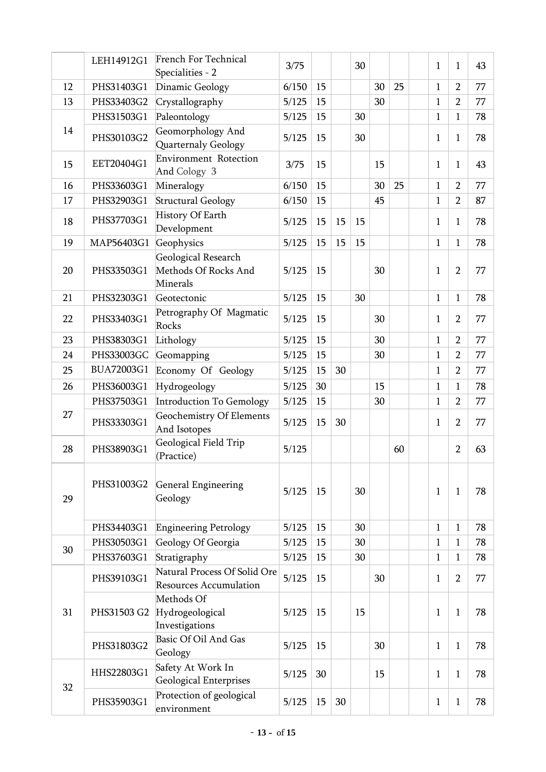|    | LEH14912G1  | <b>French For Technical</b><br>Specialities - 2               | 3/75  |    |    | 30 |    |    | $\mathbf{1}$ | 1              | 43 |
|----|-------------|---------------------------------------------------------------|-------|----|----|----|----|----|--------------|----------------|----|
| 12 | PHS31403G1  | Dinamic Geology                                               | 6/150 | 15 |    |    | 30 | 25 | 1            | $\overline{2}$ | 77 |
| 13 | PHS33403G2  | Crystallography                                               | 5/125 | 15 |    |    | 30 |    | $\mathbf{1}$ | $\overline{2}$ | 77 |
|    | PHS31503G1  | Paleontology                                                  | 5/125 | 15 |    | 30 |    |    | $\mathbf{1}$ | 1              | 78 |
| 14 | PHS30103G2  | Geomorphology And<br>Quarternaly Geology                      | 5/125 | 15 |    | 30 |    |    | 1            | 1              | 78 |
| 15 | EET20404G1  | <b>Environment Rotection</b><br>And Cology 3                  | 3/75  | 15 |    |    | 15 |    | 1            | $\mathbf{1}$   | 43 |
| 16 | PHS33603G1  | Mineralogy                                                    | 6/150 | 15 |    |    | 30 | 25 | 1            | $\overline{2}$ | 77 |
| 17 | PHS32903G1  | <b>Structural Geology</b>                                     | 6/150 | 15 |    |    | 45 |    | $\mathbf{1}$ | $\overline{2}$ | 87 |
| 18 | PHS37703G1  | History Of Earth<br>Development                               | 5/125 | 15 | 15 | 15 |    |    | 1            | 1              | 78 |
| 19 | MAP56403G1  | Geophysics                                                    | 5/125 | 15 | 15 | 15 |    |    | $\mathbf{1}$ | $\mathbf{1}$   | 78 |
| 20 | PHS33503G1  | Geological Research<br>Methods Of Rocks And<br>Minerals       | 5/125 | 15 |    |    | 30 |    | $\mathbf{1}$ | $\overline{2}$ | 77 |
| 21 | PHS32303G1  | Geotectonic                                                   | 5/125 | 15 |    | 30 |    |    | $\mathbf{1}$ | $\mathbf{1}$   | 78 |
| 22 | PHS33403G1  | Petrography Of Magmatic<br>Rocks                              | 5/125 | 15 |    |    | 30 |    | 1            | $\overline{2}$ | 77 |
| 23 | PHS38303G1  | Lithology                                                     | 5/125 | 15 |    |    | 30 |    | 1            | $\overline{2}$ | 77 |
| 24 | PHS33003GC  | Geomapping                                                    | 5/125 | 15 |    |    | 30 |    | 1            | $\overline{2}$ | 77 |
| 25 | BUA72003G1  | Economy Of Geology                                            | 5/125 | 15 | 30 |    |    |    | $\mathbf{1}$ | $\overline{2}$ | 77 |
| 26 | PHS36003G1  | Hydrogeology                                                  | 5/125 | 30 |    |    | 15 |    | $\mathbf{1}$ | 1              | 78 |
|    | PHS37503G1  | Introduction To Gemology                                      | 5/125 | 15 |    |    | 30 |    | $\mathbf{1}$ | $\overline{2}$ | 77 |
| 27 | PHS33303G1  | <b>Geochemistry Of Elements</b><br>And Isotopes               | 5/125 | 15 | 30 |    |    |    | $\mathbf{1}$ | $\overline{2}$ | 77 |
| 28 | PHS38903G1  | Geological Field Trip<br>(Practice)                           | 5/125 |    |    |    |    | 60 |              | $\overline{2}$ | 63 |
| 29 | PHS31003G2  | General Engineering<br>Geology                                | 5/125 | 15 |    | 30 |    |    | 1            | 1              | 78 |
|    | PHS34403G1  | <b>Engineering Petrology</b>                                  | 5/125 | 15 |    | 30 |    |    | 1            | $\mathbf{1}$   | 78 |
| 30 | PHS30503G1  | Geology Of Georgia                                            | 5/125 | 15 |    | 30 |    |    | 1            | 1              | 78 |
|    | PHS37603G1  | Stratigraphy                                                  | 5/125 | 15 |    | 30 |    |    | 1            | 1              | 78 |
|    | PHS39103G1  | Natural Process Of Solid Ore<br><b>Resources Accumulation</b> | 5/125 | 15 |    |    | 30 |    | 1            | $\overline{2}$ | 77 |
| 31 | PHS31503 G2 | Methods Of<br>Hydrogeological<br>Investigations               | 5/125 | 15 |    | 15 |    |    | 1            | 1              | 78 |
|    | PHS31803G2  | Basic Of Oil And Gas<br>Geology                               | 5/125 | 15 |    |    | 30 |    | 1            | 1              | 78 |
| 32 | HHS22803G1  | Safety At Work In<br><b>Geological Enterprises</b>            | 5/125 | 30 |    |    | 15 |    | 1            | $\mathbf{1}$   | 78 |
|    | PHS35903G1  | Protection of geological<br>environment                       | 5/125 | 15 | 30 |    |    |    | 1            | $\mathbf{1}$   | 78 |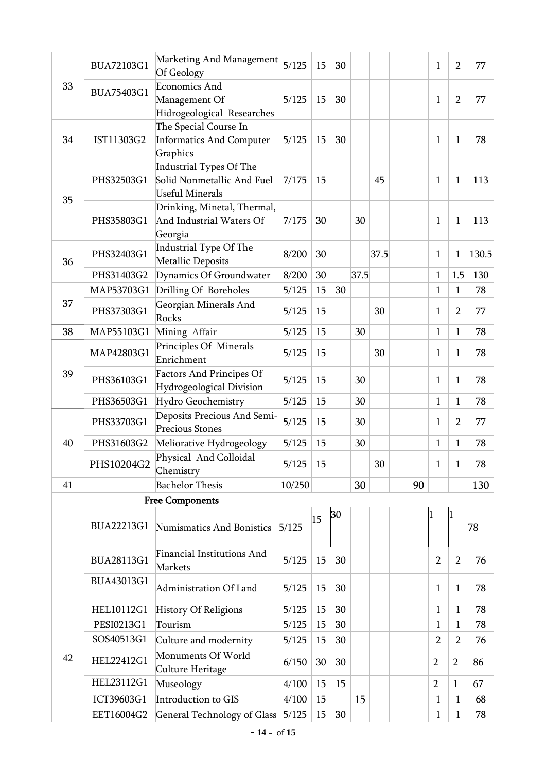|    | BUA72103G1 | Marketing And Management<br>Of Geology                                          | 5/125  | 15 | 30 |      |      |    | 1              | $\overline{2}$ | 77    |
|----|------------|---------------------------------------------------------------------------------|--------|----|----|------|------|----|----------------|----------------|-------|
| 33 | BUA75403G1 | <b>Economics And</b><br>Management Of<br>Hidrogeological Researches             | 5/125  | 15 | 30 |      |      |    | 1              | $\overline{2}$ | 77    |
| 34 | IST11303G2 | The Special Course In<br><b>Informatics And Computer</b><br>Graphics            | 5/125  | 15 | 30 |      |      |    | $\mathbf{1}$   | $\mathbf{1}$   | 78    |
| 35 | PHS32503G1 | Industrial Types Of The<br>Solid Nonmetallic And Fuel<br><b>Useful Minerals</b> | 7/175  | 15 |    |      | 45   |    | 1              | 1              | 113   |
|    | PHS35803G1 | Drinking, Minetal, Thermal,<br>And Industrial Waters Of<br>Georgia              | 7/175  | 30 |    | 30   |      |    | 1              | $\mathbf{1}$   | 113   |
| 36 | PHS32403G1 | Industrial Type Of The<br>Metallic Deposits                                     | 8/200  | 30 |    |      | 37.5 |    | 1              | $\mathbf{1}$   | 130.5 |
|    | PHS31403G2 | Dynamics Of Groundwater                                                         | 8/200  | 30 |    | 37.5 |      |    | $\mathbf{1}$   | 1.5            | 130   |
|    | MAP53703G1 | Drilling Of Boreholes                                                           | 5/125  | 15 | 30 |      |      |    | 1              | $\mathbf{1}$   | 78    |
| 37 | PHS37303G1 | Georgian Minerals And<br>Rocks                                                  | 5/125  | 15 |    |      | 30   |    | 1              | $\overline{2}$ | 77    |
| 38 | MAP55103G1 | Mining Affair                                                                   | 5/125  | 15 |    | 30   |      |    | $\mathbf{1}$   | $\mathbf{1}$   | 78    |
|    | MAP42803G1 | Principles Of Minerals<br>Enrichment                                            | 5/125  | 15 |    |      | 30   |    | 1              | $\mathbf{1}$   | 78    |
| 39 | PHS36103G1 | <b>Factors And Principes Of</b><br>Hydrogeological Division                     | 5/125  | 15 |    | 30   |      |    | 1              | 1              | 78    |
|    | PHS36503G1 | Hydro Geochemistry                                                              | 5/125  | 15 |    | 30   |      |    | $\mathbf{1}$   | $\mathbf{1}$   | 78    |
|    | PHS33703G1 | Deposits Precious And Semi-<br><b>Precious Stones</b>                           | 5/125  | 15 |    | 30   |      |    | 1              | $\overline{2}$ | 77    |
| 40 | PHS31603G2 | Meliorative Hydrogeology                                                        | 5/125  | 15 |    | 30   |      |    | $\mathbf{1}$   | $\mathbf{1}$   | 78    |
|    | PHS10204G2 | Physical And Colloidal<br>Chemistry                                             | 5/125  | 15 |    |      | 30   |    | 1              | $\mathbf{1}$   | 78    |
| 41 |            | <b>Bachelor Thesis</b>                                                          | 10/250 |    |    | 30   |      | 90 |                |                | 130   |
|    |            | <b>Free Components</b>                                                          |        |    |    |      |      |    |                |                |       |
|    | BUA22213G1 | Numismatics And Bonistics                                                       | 5/125  | 15 | 30 |      |      |    | $\mathbf{1}$   | 1              | 78    |
|    | BUA28113G1 | <b>Financial Institutions And</b><br>Markets                                    | 5/125  | 15 | 30 |      |      |    | $\overline{2}$ | $\overline{2}$ | 76    |
|    | BUA43013G1 | Administration Of Land                                                          | 5/125  | 15 | 30 |      |      |    | 1              | 1              | 78    |
|    | HEL10112G1 | <b>History Of Religions</b>                                                     | 5/125  | 15 | 30 |      |      |    | $\mathbf{1}$   | $\mathbf{1}$   | 78    |
|    | PESI0213G1 | Tourism                                                                         | 5/125  | 15 | 30 |      |      |    | 1              | 1              | 78    |
|    | SOS40513G1 | Culture and modernity                                                           | 5/125  | 15 | 30 |      |      |    | $\overline{2}$ | $\overline{2}$ | 76    |
| 42 | HEL22412G1 | Monuments Of World<br>Culture Heritage                                          | 6/150  | 30 | 30 |      |      |    | $\overline{2}$ | $\overline{2}$ | 86    |
|    | HEL23112G1 | Museology                                                                       | 4/100  | 15 | 15 |      |      |    | $\overline{2}$ | $\mathbf{1}$   | 67    |
|    | ICT39603G1 | Introduction to GIS                                                             | 4/100  | 15 |    | 15   |      |    | 1              | 1              | 68    |
|    | EET16004G2 | <b>General Technology of Glass</b>                                              | 5/125  | 15 | 30 |      |      |    | $\mathbf{1}$   | $\mathbf{1}$   | 78    |